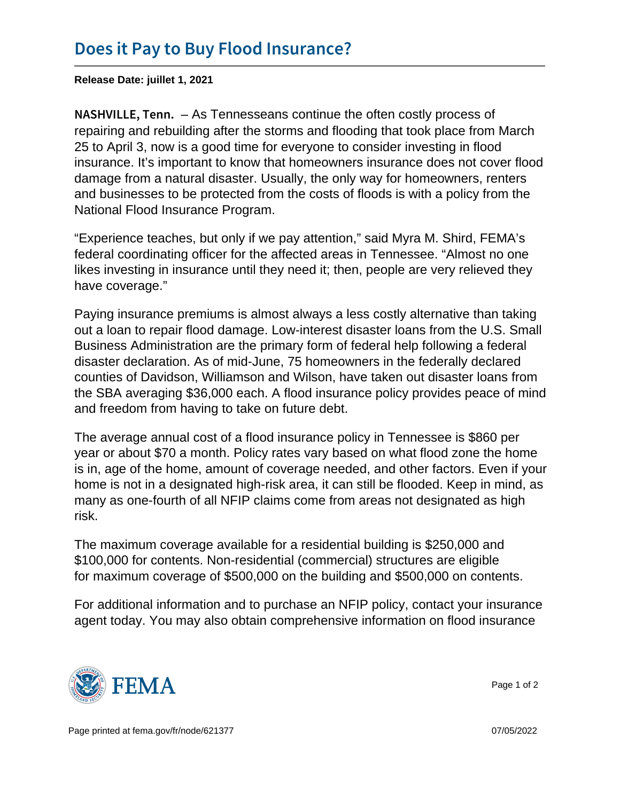Release Date: juillet 1, 2021

N A S H V I L L E  $\overline{\tau}$  As Termesseans continue the often costly process of repairing and rebuilding after the storms and flooding that took place from March 25 to April 3, now is a good time for everyone to consider investing in flood insurance. It's important to know that homeowners insurance does not cover flood damage from a natural disaster. Usually, the only way for homeowners, renters and businesses to be protected from the costs of floods is with a policy from the National Flood Insurance Program.

"Experience teaches, but only if we pay attention," said Myra M. Shird, FEMA's federal coordinating officer for the affected areas in Tennessee. "Almost no one likes investing in insurance until they need it; then, people are very relieved they have coverage."

Paying insurance premiums is almost always a less costly alternative than taking out a loan to repair flood damage. Low-interest disaster loans from the U.S. Small Business Administration are the primary form of federal help following a federal disaster declaration. As of mid-June, 75 homeowners in the federally declared counties of Davidson, Williamson and Wilson, have taken out disaster loans from the SBA averaging \$36,000 each. A flood insurance policy provides peace of mind and freedom from having to take on future debt.

The average annual cost of a flood insurance policy in Tennessee is \$860 per year or about \$70 a month. Policy rates vary based on what flood zone the home is in, age of the home, amount of coverage needed, and other factors. Even if your home is not in a designated high-risk area, it can still be flooded. Keep in mind, as many as one-fourth of all NFIP claims come from areas not designated as high risk.

The maximum coverage available for a residential building is \$250,000 and \$100,000 for contents. Non-residential (commercial) structures are eligible for maximum coverage of \$500,000 on the building and \$500,000 on contents.

For additional information and to purchase an NFIP policy, contact your insurance agent today. You may also obtain comprehensive information on flood insurance



Page 1 of 2

Page printed at [fema.gov/fr/node/621377](https://www.fema.gov/fr/node/621377) 07/05/2022